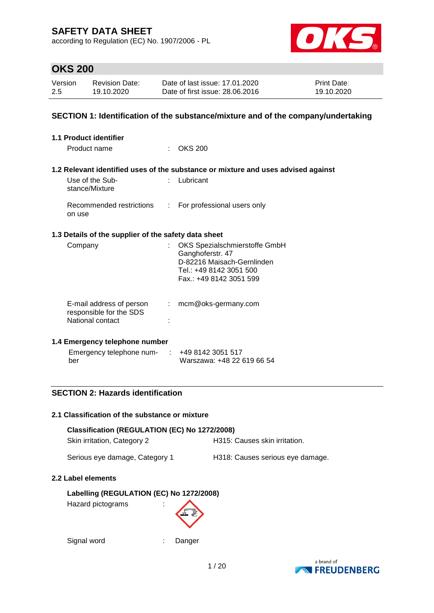according to Regulation (EC) No. 1907/2006 - PL



## **OKS 200**

| Version | <b>Revision Date:</b> | Date of last issue: 17.01.2020  | <b>Print Date:</b> |
|---------|-----------------------|---------------------------------|--------------------|
| 2.5     | 19.10.2020            | Date of first issue: 28,06,2016 | 19.10.2020         |

### **SECTION 1: Identification of the substance/mixture and of the company/undertaking**

| <b>1.1 Product identifier</b>                                           |               |                                                                                                                                       |
|-------------------------------------------------------------------------|---------------|---------------------------------------------------------------------------------------------------------------------------------------|
| Product name                                                            |               | $\therefore$ OKS 200                                                                                                                  |
|                                                                         |               | 1.2 Relevant identified uses of the substance or mixture and uses advised against                                                     |
| Use of the Sub-<br>stance/Mixture                                       |               | Lubricant                                                                                                                             |
| Recommended restrictions<br>on use                                      | $\mathcal{L}$ | For professional users only                                                                                                           |
| 1.3 Details of the supplier of the safety data sheet                    |               |                                                                                                                                       |
| Company                                                                 |               | OKS Spezialschmierstoffe GmbH<br>Ganghoferstr. 47<br>D-82216 Maisach-Gernlinden<br>Tel.: +49 8142 3051 500<br>Fax.: +49 8142 3051 599 |
| E-mail address of person<br>responsible for the SDS<br>National contact | ÷.            | mcm@oks-germany.com                                                                                                                   |

#### **1.4 Emergency telephone number**

| Emergency telephone num- | $\div$ +49 8142 3051 517   |
|--------------------------|----------------------------|
| ber                      | Warszawa: +48 22 619 66 54 |

### **SECTION 2: Hazards identification**

#### **2.1 Classification of the substance or mixture**

| Classification (REGULATION (EC) No 1272/2008) |                                  |  |  |  |
|-----------------------------------------------|----------------------------------|--|--|--|
| Skin irritation, Category 2                   | H315: Causes skin irritation.    |  |  |  |
| Serious eye damage, Category 1                | H318: Causes serious eye damage. |  |  |  |

#### **2.2 Label elements**

### **Labelling (REGULATION (EC) No 1272/2008)**

Hazard pictograms :



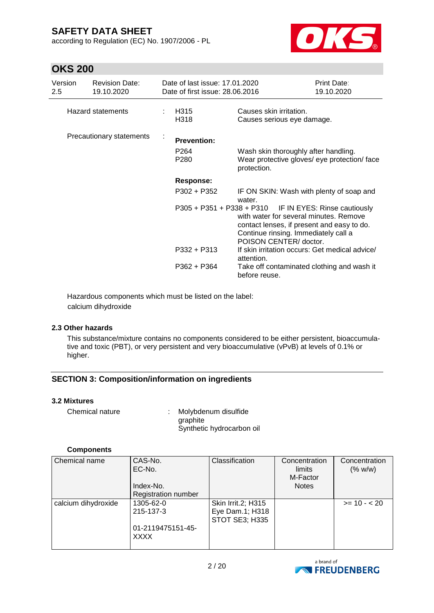according to Regulation (EC) No. 1907/2006 - PL



## **OKS 200**

| Version<br>$2.5^{\circ}$ | <b>Revision Date:</b><br>19.10.2020 | Date of last issue: 17.01.2020<br>Date of first issue: 28.06.2016 |                                                                                                                                                                                                                  | Print Date:<br>19.10.2020 |
|--------------------------|-------------------------------------|-------------------------------------------------------------------|------------------------------------------------------------------------------------------------------------------------------------------------------------------------------------------------------------------|---------------------------|
|                          | <b>Hazard statements</b>            | H315<br>H318                                                      | Causes skin irritation.<br>Causes serious eye damage.                                                                                                                                                            |                           |
| Precautionary statements |                                     | <b>Prevention:</b>                                                |                                                                                                                                                                                                                  |                           |
|                          |                                     | P <sub>264</sub><br>P <sub>280</sub>                              | Wash skin thoroughly after handling.<br>Wear protective gloves/ eye protection/ face<br>protection.                                                                                                              |                           |
|                          |                                     | <b>Response:</b>                                                  |                                                                                                                                                                                                                  |                           |
|                          |                                     | $P302 + P352$                                                     | IF ON SKIN: Wash with plenty of soap and<br>water.                                                                                                                                                               |                           |
|                          |                                     |                                                                   | P305 + P351 + P338 + P310 IF IN EYES: Rinse cautiously<br>with water for several minutes. Remove<br>contact lenses, if present and easy to do.<br>Continue rinsing. Immediately call a<br>POISON CENTER/ doctor. |                           |
|                          |                                     | P332 + P313                                                       | If skin irritation occurs: Get medical advice/<br>attention.                                                                                                                                                     |                           |
|                          |                                     | P362 + P364                                                       | Take off contaminated clothing and wash it<br>before reuse.                                                                                                                                                      |                           |

Hazardous components which must be listed on the label: calcium dihydroxide

#### **2.3 Other hazards**

This substance/mixture contains no components considered to be either persistent, bioaccumulative and toxic (PBT), or very persistent and very bioaccumulative (vPvB) at levels of 0.1% or higher.

#### **SECTION 3: Composition/information on ingredients**

#### **3.2 Mixtures**

| Chemical nature | Molybdenum disulfide      |
|-----------------|---------------------------|
|                 | araphite                  |
|                 | Synthetic hydrocarbon oil |

#### **Components**

| Chemical name       | CAS-No.<br>EC-No.<br>Index-No.<br><b>Registration number</b> | Classification                                          | Concentration<br>limits<br>M-Factor<br><b>Notes</b> | Concentration<br>(% w/w) |
|---------------------|--------------------------------------------------------------|---------------------------------------------------------|-----------------------------------------------------|--------------------------|
| calcium dihydroxide | 1305-62-0<br>215-137-3<br>01-2119475151-45-<br><b>XXXX</b>   | Skin Irrit.2; H315<br>Eye Dam.1; H318<br>STOT SE3; H335 |                                                     | $>= 10 - 20$             |

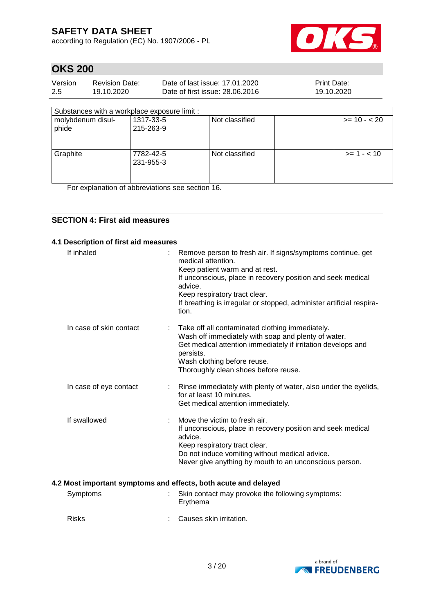according to Regulation (EC) No. 1907/2006 - PL



# **OKS 200**

| Version | <b>Revision Date:</b> | Date of last issue: 17.01.2020  | <b>Print Date:</b> |
|---------|-----------------------|---------------------------------|--------------------|
| 2.5     | 19.10.2020            | Date of first issue: 28,06,2016 | 19.10.2020         |

#### Substances with a workplace exposure limit :

| molybdenum disul-<br>phide | 1317-33-5<br>215-263-9 | Not classified | $>= 10 - 20$  |
|----------------------------|------------------------|----------------|---------------|
| Graphite                   | 7782-42-5<br>231-955-3 | Not classified | $>= 1 - < 10$ |

For explanation of abbreviations see section 16.

### **SECTION 4: First aid measures**

#### **4.1 Description of first aid measures**

| If inhaled              | Remove person to fresh air. If signs/symptoms continue, get<br>medical attention.<br>Keep patient warm and at rest.<br>If unconscious, place in recovery position and seek medical<br>advice.<br>Keep respiratory tract clear.<br>If breathing is irregular or stopped, administer artificial respira-<br>tion. |
|-------------------------|-----------------------------------------------------------------------------------------------------------------------------------------------------------------------------------------------------------------------------------------------------------------------------------------------------------------|
| In case of skin contact | Take off all contaminated clothing immediately.<br>Wash off immediately with soap and plenty of water.<br>Get medical attention immediately if irritation develops and<br>persists.<br>Wash clothing before reuse.<br>Thoroughly clean shoes before reuse.                                                      |
| In case of eye contact  | Rinse immediately with plenty of water, also under the eyelids,<br>for at least 10 minutes.<br>Get medical attention immediately.                                                                                                                                                                               |
| If swallowed            | Move the victim to fresh air.<br>If unconscious, place in recovery position and seek medical<br>advice.<br>Keep respiratory tract clear.<br>Do not induce vomiting without medical advice.<br>Never give anything by mouth to an unconscious person.                                                            |
|                         | 4.2 Most important symptoms and effects, both acute and delayed                                                                                                                                                                                                                                                 |
| Symptoms                | Skin contact may provoke the following symptoms:<br>Erythema                                                                                                                                                                                                                                                    |

Risks : Causes skin irritation.

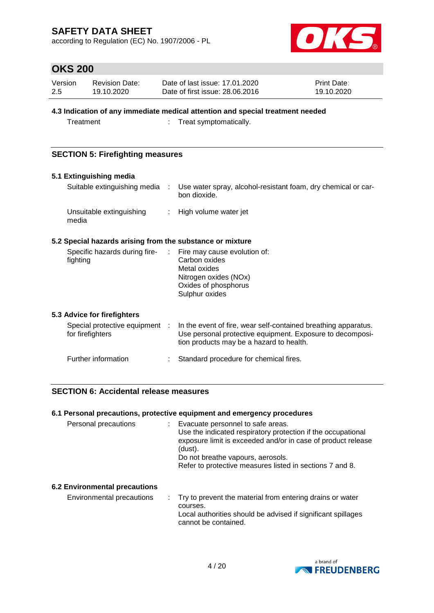according to Regulation (EC) No. 1907/2006 - PL



## **OKS 200**

| Version | Revision Date: | Date of last issue: 17.01.2020  | <b>Print Date:</b> |
|---------|----------------|---------------------------------|--------------------|
| 2.5     | 19.10.2020     | Date of first issue: 28,06,2016 | 19.10.2020         |

#### **4.3 Indication of any immediate medical attention and special treatment needed**

Treatment : Treat symptomatically.

### **SECTION 5: Firefighting measures**

#### **5.1 Extinguishing media**

| Suitable extinguishing media      | Use water spray, alcohol-resistant foam, dry chemical or car-<br>bon dioxide. |
|-----------------------------------|-------------------------------------------------------------------------------|
| Unsuitable extinguishing<br>media | : High volume water jet                                                       |

#### **5.2 Special hazards arising from the substance or mixture**

| Specific hazards during fire- | $\therefore$ Fire may cause evolution of: |
|-------------------------------|-------------------------------------------|
| fighting                      | Carbon oxides                             |
|                               | Metal oxides                              |
|                               | Nitrogen oxides (NOx)                     |
|                               | Oxides of phosphorus                      |
|                               | Sulphur oxides                            |
|                               |                                           |

#### **5.3 Advice for firefighters**

| Special protective equipment :<br>for firefighters | In the event of fire, wear self-contained breathing apparatus.<br>Use personal protective equipment. Exposure to decomposi-<br>tion products may be a hazard to health. |
|----------------------------------------------------|-------------------------------------------------------------------------------------------------------------------------------------------------------------------------|
| Further information                                | Standard procedure for chemical fires.                                                                                                                                  |

### **SECTION 6: Accidental release measures**

#### **6.1 Personal precautions, protective equipment and emergency procedures**

| Personal precautions                 | : Evacuate personnel to safe areas.<br>Use the indicated respiratory protection if the occupational<br>exposure limit is exceeded and/or in case of product release<br>(dust).<br>Do not breathe vapours, aerosols.<br>Refer to protective measures listed in sections 7 and 8. |
|--------------------------------------|---------------------------------------------------------------------------------------------------------------------------------------------------------------------------------------------------------------------------------------------------------------------------------|
| <b>6.2 Environmental precautions</b> |                                                                                                                                                                                                                                                                                 |

Environmental precautions : Try to prevent the material from entering drains or water courses. Local authorities should be advised if significant spillages cannot be contained.

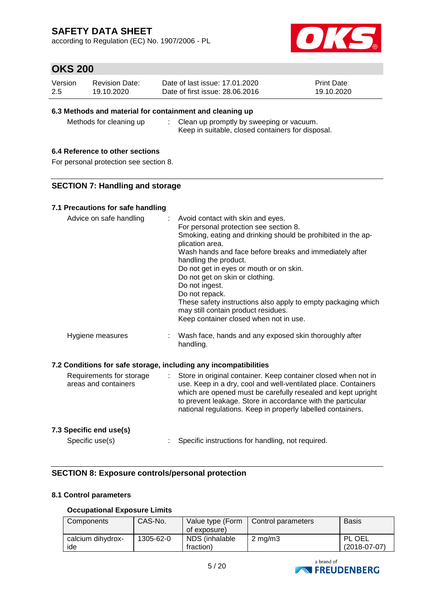according to Regulation (EC) No. 1907/2006 - PL



## **OKS 200**

| Version | <b>Revision Date:</b> | Date of last issue: 17.01.2020  | <b>Print Date:</b> |
|---------|-----------------------|---------------------------------|--------------------|
| 2.5     | 19.10.2020            | Date of first issue: 28,06,2016 | 19.10.2020         |

#### **6.3 Methods and material for containment and cleaning up**

Methods for cleaning up : Clean up promptly by sweeping or vacuum. Keep in suitable, closed containers for disposal.

### **6.4 Reference to other sections**

For personal protection see section 8.

#### **SECTION 7: Handling and storage**

#### **7.1 Precautions for safe handling**

| Advice on safe handling                          |    | Avoid contact with skin and eyes.<br>For personal protection see section 8.                                                     |
|--------------------------------------------------|----|---------------------------------------------------------------------------------------------------------------------------------|
|                                                  |    | Smoking, eating and drinking should be prohibited in the ap-<br>plication area.                                                 |
|                                                  |    | Wash hands and face before breaks and immediately after                                                                         |
|                                                  |    | handling the product.                                                                                                           |
|                                                  |    | Do not get in eyes or mouth or on skin.                                                                                         |
|                                                  |    | Do not get on skin or clothing.                                                                                                 |
|                                                  |    | Do not ingest.                                                                                                                  |
|                                                  |    | Do not repack.                                                                                                                  |
|                                                  |    | These safety instructions also apply to empty packaging which<br>may still contain product residues.                            |
|                                                  |    | Keep container closed when not in use.                                                                                          |
| Hygiene measures                                 |    | Wash face, hands and any exposed skin thoroughly after<br>handling.                                                             |
|                                                  |    | 7.2 Conditions for safe storage, including any incompatibilities                                                                |
|                                                  |    |                                                                                                                                 |
| Requirements for storage<br>arone and containere | t. | Store in original container. Keep container closed when not in<br>use Keep in a dry, cool and well-ventilated place. Containers |

### areas and containers use. Keep in a dry, cool and well-ventilated place. Containers which are opened must be carefully resealed and kept upright to prevent leakage. Store in accordance with the particular national regulations. Keep in properly labelled containers.

#### **7.3 Specific end use(s)**

Specific use(s) : Specific instructions for handling, not required.

### **SECTION 8: Exposure controls/personal protection**

#### **8.1 Control parameters**

#### **Occupational Exposure Limits**

| Components               | CAS-No.   | Value type (Form<br>of exposure) | Control parameters | <b>Basis</b>             |
|--------------------------|-----------|----------------------------------|--------------------|--------------------------|
| calcium dihydrox-<br>ide | 1305-62-0 | NDS (inhalable<br>fraction)      | $2 \text{ mg/m}$ 3 | PL OEL<br>$(2018-07-07)$ |

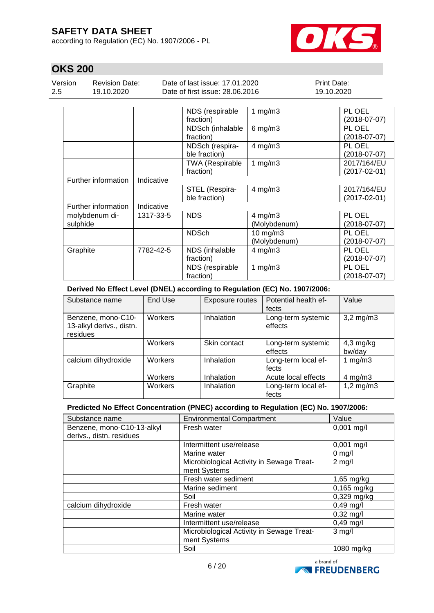according to Regulation (EC) No. 1907/2006 - PL



# **OKS 200**

| Version | Revision Date: | Date of last issue: 17,01,2020  | <b>Print Date:</b> |
|---------|----------------|---------------------------------|--------------------|
| 2.5     | 19.10.2020     | Date of first issue: 28,06,2016 | 19.10.2020         |

|                            |            | NDS (respirable<br>fraction)        | 1 $mg/m3$                     | PL OEL<br>(2018-07-07)            |
|----------------------------|------------|-------------------------------------|-------------------------------|-----------------------------------|
|                            |            | NDSch (inhalable<br>fraction)       | $6$ mg/m $3$                  | PL OEL<br>$(2018-07-07)$          |
|                            |            | NDSch (respira-<br>ble fraction)    | $4$ mg/m $3$                  | PL OEL<br>$(2018-07-07)$          |
|                            |            | <b>TWA (Respirable</b><br>fraction) | 1 $mg/m3$                     | 2017/164/EU<br>$(2017 - 02 - 01)$ |
| Further information        | Indicative |                                     |                               |                                   |
|                            |            | STEL (Respira-<br>ble fraction)     | $4$ mg/m $3$                  | 2017/164/EU<br>$(2017 - 02 - 01)$ |
| Further information        | Indicative |                                     |                               |                                   |
| molybdenum di-<br>sulphide | 1317-33-5  | <b>NDS</b>                          | $4$ mg/m $3$<br>(Molybdenum)  | PL OEL<br>$(2018-07-07)$          |
|                            |            | <b>NDSch</b>                        | $10$ mg/m $3$<br>(Molybdenum) | PL OEL<br>$(2018-07-07)$          |
| Graphite                   | 7782-42-5  | NDS (inhalable<br>fraction)         | $4$ mg/m $3$                  | PL OEL<br>$(2018-07-07)$          |
|                            |            | NDS (respirable<br>fraction)        | 1 $mg/m3$                     | PL OEL<br>$(2018-07-07)$          |

#### **Derived No Effect Level (DNEL) according to Regulation (EC) No. 1907/2006:**

| Substance name                                             | End Use | Exposure routes | Potential health ef-<br>fects | Value                 |
|------------------------------------------------------------|---------|-----------------|-------------------------------|-----------------------|
| Benzene, mono-C10-<br>13-alkyl derivs., distn.<br>residues | Workers | Inhalation      | Long-term systemic<br>effects | $3,2$ mg/m $3$        |
|                                                            | Workers | Skin contact    | Long-term systemic<br>effects | $4,3$ mg/kg<br>bw/day |
| calcium dihydroxide                                        | Workers | Inhalation      | Long-term local ef-<br>fects  | 1 $mg/m3$             |
|                                                            | Workers | Inhalation      | Acute local effects           | $4$ mg/m $3$          |
| Graphite                                                   | Workers | Inhalation      | Long-term local ef-<br>fects  | $1,2$ mg/m $3$        |

#### **Predicted No Effect Concentration (PNEC) according to Regulation (EC) No. 1907/2006:**

| Substance name             | <b>Environmental Compartment</b>          | Value               |
|----------------------------|-------------------------------------------|---------------------|
| Benzene, mono-C10-13-alkyl | Fresh water                               | $0,001$ mg/l        |
| derivs., distn. residues   |                                           |                     |
|                            | Intermittent use/release                  | $0,001$ mg/l        |
|                            | Marine water                              | $0$ mg/l            |
|                            | Microbiological Activity in Sewage Treat- | $2$ mg/l            |
|                            | ment Systems                              |                     |
|                            | Fresh water sediment                      | $1,65$ mg/kg        |
|                            | Marine sediment                           | $0,165$ mg/kg       |
|                            | Soil                                      | 0,329 mg/kg         |
| calcium dihydroxide        | Fresh water                               | $0,49$ mg/l         |
|                            | Marine water                              | $0,32 \text{ mg/l}$ |
|                            | Intermittent use/release                  | $0,49$ mg/l         |
|                            | Microbiological Activity in Sewage Treat- | $3$ mg/l            |
|                            | ment Systems                              |                     |
|                            | Soil                                      | 1080 mg/kg          |

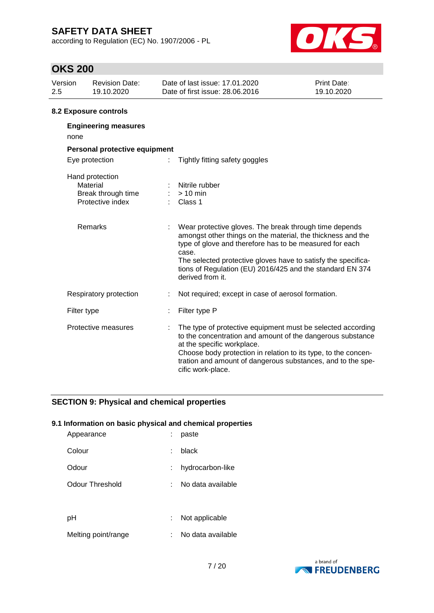according to Regulation (EC) No. 1907/2006 - PL



## **OKS 200**

| Version<br>2.5 | <b>Revision Date:</b><br>19.10.2020                                   | Date of last issue: 17.01.2020<br>Date of first issue: 28,06,2016                                                                                                                                                                                                                                                                           | Print Date:<br>19.10.2020 |
|----------------|-----------------------------------------------------------------------|---------------------------------------------------------------------------------------------------------------------------------------------------------------------------------------------------------------------------------------------------------------------------------------------------------------------------------------------|---------------------------|
|                | 8.2 Exposure controls                                                 |                                                                                                                                                                                                                                                                                                                                             |                           |
| none           | <b>Engineering measures</b>                                           |                                                                                                                                                                                                                                                                                                                                             |                           |
|                | Personal protective equipment                                         |                                                                                                                                                                                                                                                                                                                                             |                           |
|                | Eye protection                                                        | Tightly fitting safety goggles                                                                                                                                                                                                                                                                                                              |                           |
|                | Hand protection<br>Material<br>Break through time<br>Protective index | Nitrile rubber<br>$> 10$ min<br>Class 1                                                                                                                                                                                                                                                                                                     |                           |
|                | Remarks                                                               | Wear protective gloves. The break through time depends<br>amongst other things on the material, the thickness and the<br>type of glove and therefore has to be measured for each<br>case.<br>The selected protective gloves have to satisfy the specifica-<br>tions of Regulation (EU) 2016/425 and the standard EN 374<br>derived from it. |                           |
|                | Respiratory protection                                                | Not required; except in case of aerosol formation.                                                                                                                                                                                                                                                                                          |                           |
|                | Filter type                                                           | Filter type P                                                                                                                                                                                                                                                                                                                               |                           |
|                | Protective measures                                                   | The type of protective equipment must be selected according<br>to the concentration and amount of the dangerous substance<br>at the specific workplace.<br>Choose body protection in relation to its type, to the concen-<br>tration and amount of dangerous substances, and to the spe-<br>cific work-place.                               |                           |

### **SECTION 9: Physical and chemical properties**

#### **9.1 Information on basic physical and chemical properties**

| Appearance          | paste             |
|---------------------|-------------------|
| Colour              | black             |
| Odour               | hydrocarbon-like  |
| Odour Threshold     | No data available |
|                     |                   |
| рH                  | Not applicable    |
| Melting point/range | No data available |

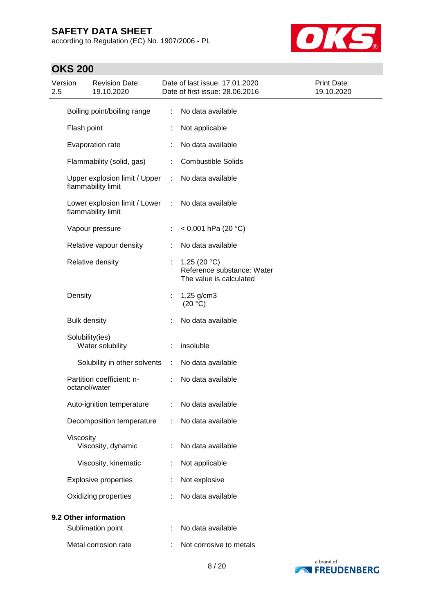according to Regulation (EC) No. 1907/2006 - PL



## **OKS 200**

| Version<br><b>Revision Date:</b><br>2.5<br>19.10.2020 |                                                                |                                                     |    | Date of last issue: 17.01.2020<br>Date of first issue: 28.06.2016       | <b>Print Date:</b><br>19.10.2020 |
|-------------------------------------------------------|----------------------------------------------------------------|-----------------------------------------------------|----|-------------------------------------------------------------------------|----------------------------------|
|                                                       | Boiling point/boiling range<br>Flash point<br>Evaporation rate |                                                     |    | No data available                                                       |                                  |
|                                                       |                                                                |                                                     |    | Not applicable                                                          |                                  |
|                                                       |                                                                |                                                     |    | No data available                                                       |                                  |
|                                                       |                                                                | Flammability (solid, gas)                           |    | <b>Combustible Solids</b>                                               |                                  |
|                                                       |                                                                | Upper explosion limit / Upper<br>flammability limit |    | No data available                                                       |                                  |
|                                                       |                                                                | Lower explosion limit / Lower<br>flammability limit | ÷  | No data available                                                       |                                  |
|                                                       |                                                                | Vapour pressure                                     |    | < 0,001 hPa (20 °C)                                                     |                                  |
|                                                       |                                                                | Relative vapour density                             |    | No data available                                                       |                                  |
|                                                       |                                                                | Relative density                                    | ÷. | 1,25 $(20 °C)$<br>Reference substance: Water<br>The value is calculated |                                  |
|                                                       | Density                                                        |                                                     |    | 1,25 g/cm3<br>(20 °C)                                                   |                                  |
|                                                       | <b>Bulk density</b>                                            |                                                     |    | No data available                                                       |                                  |
|                                                       | Solubility(ies)                                                | Water solubility                                    |    | insoluble                                                               |                                  |
|                                                       |                                                                | Solubility in other solvents                        | ÷  | No data available                                                       |                                  |
|                                                       | octanol/water                                                  | Partition coefficient: n-                           |    | No data available                                                       |                                  |
|                                                       |                                                                | Auto-ignition temperature                           |    | No data available                                                       |                                  |
|                                                       |                                                                | Decomposition temperature                           |    | No data available                                                       |                                  |
|                                                       | Viscosity                                                      | Viscosity, dynamic                                  |    | No data available                                                       |                                  |
|                                                       |                                                                | Viscosity, kinematic                                | ÷  | Not applicable                                                          |                                  |
|                                                       |                                                                | <b>Explosive properties</b>                         |    | Not explosive                                                           |                                  |
|                                                       | Oxidizing properties                                           |                                                     |    | No data available                                                       |                                  |
|                                                       |                                                                | 9.2 Other information                               |    |                                                                         |                                  |
|                                                       | Sublimation point                                              |                                                     |    | No data available                                                       |                                  |
|                                                       | Metal corrosion rate                                           |                                                     |    | Not corrosive to metals                                                 |                                  |

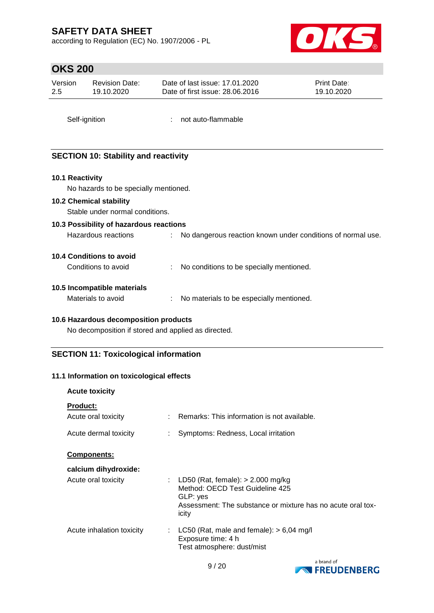according to Regulation (EC) No. 1907/2006 - PL



# **OKS 200**

| Version<br>2.5  | <b>Revision Date:</b><br>19.10.2020         | Date of last issue: 17.01.2020<br>Date of first issue: 28.06.2016 | Print Date:<br>19.10.2020 |
|-----------------|---------------------------------------------|-------------------------------------------------------------------|---------------------------|
|                 | Self-ignition                               | not auto-flammable                                                |                           |
|                 | <b>SECTION 10: Stability and reactivity</b> |                                                                   |                           |
| 10.1 Reactivity |                                             |                                                                   |                           |
|                 | No hazards to be specially mentioned.       |                                                                   |                           |
|                 | <b>10.2 Chemical stability</b>              |                                                                   |                           |
|                 | Stable under normal conditions.             |                                                                   |                           |
|                 | 10.3 Possibility of hazardous reactions     |                                                                   |                           |
|                 | Hazardous reactions                         | No dangerous reaction known under conditions of normal use.       |                           |
|                 | 10.4 Conditions to avoid                    |                                                                   |                           |
|                 | Conditions to avoid                         | No conditions to be specially mentioned.                          |                           |
|                 |                                             |                                                                   |                           |

### **10.5 Incompatible materials**

| Materials to avoid |  | No materials to be especially mentioned. |
|--------------------|--|------------------------------------------|
|--------------------|--|------------------------------------------|

#### **10.6 Hazardous decomposition products**

No decomposition if stored and applied as directed.

### **SECTION 11: Toxicological information**

#### **11.1 Information on toxicological effects**

| <b>Acute toxicity</b>                  |                                                                                                                                                              |
|----------------------------------------|--------------------------------------------------------------------------------------------------------------------------------------------------------------|
| <b>Product:</b><br>Acute oral toxicity | : Remarks: This information is not available.                                                                                                                |
| Acute dermal toxicity                  | Symptoms: Redness, Local irritation                                                                                                                          |
| <b>Components:</b>                     |                                                                                                                                                              |
| calcium dihydroxide:                   |                                                                                                                                                              |
| Acute oral toxicity                    | : LD50 (Rat, female): $>$ 2.000 mg/kg<br>Method: OECD Test Guideline 425<br>GLP: yes<br>Assessment: The substance or mixture has no acute oral tox-<br>icity |
| Acute inhalation toxicity<br>t.        | LC50 (Rat, male and female): $> 6,04$ mg/l<br>Exposure time: 4 h<br>Test atmosphere: dust/mist                                                               |

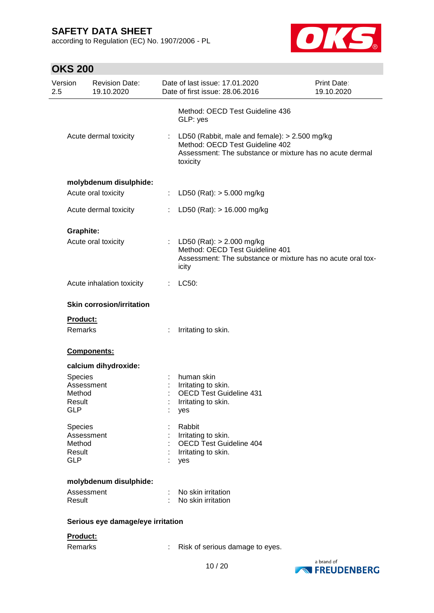according to Regulation (EC) No. 1907/2006 - PL



| <b>OKS 200</b>       |                                     |    |                                                                                                                                                              |                                  |  |  |
|----------------------|-------------------------------------|----|--------------------------------------------------------------------------------------------------------------------------------------------------------------|----------------------------------|--|--|
| Version<br>2.5       | <b>Revision Date:</b><br>19.10.2020 |    | Date of last issue: 17.01.2020<br>Date of first issue: 28.06.2016                                                                                            | <b>Print Date:</b><br>19.10.2020 |  |  |
|                      | Acute dermal toxicity               |    | Method: OECD Test Guideline 436<br>GLP: yes                                                                                                                  |                                  |  |  |
|                      |                                     |    | : LD50 (Rabbit, male and female): $> 2.500$ mg/kg<br>Method: OECD Test Guideline 402<br>Assessment: The substance or mixture has no acute dermal<br>toxicity |                                  |  |  |
|                      | molybdenum disulphide:              |    |                                                                                                                                                              |                                  |  |  |
|                      | Acute oral toxicity                 | t. | LD50 (Rat): $>$ 5.000 mg/kg                                                                                                                                  |                                  |  |  |
|                      | Acute dermal toxicity               | ÷. | LD50 (Rat): > 16.000 mg/kg                                                                                                                                   |                                  |  |  |
| Graphite:            |                                     |    |                                                                                                                                                              |                                  |  |  |
|                      | Acute oral toxicity                 |    | : LD50 (Rat): $> 2.000$ mg/kg<br>Method: OECD Test Guideline 401<br>Assessment: The substance or mixture has no acute oral tox-<br>icity                     |                                  |  |  |
|                      | Acute inhalation toxicity           | ÷. | LC50:                                                                                                                                                        |                                  |  |  |
|                      | <b>Skin corrosion/irritation</b>    |    |                                                                                                                                                              |                                  |  |  |
| Product:             |                                     |    |                                                                                                                                                              |                                  |  |  |
|                      | <b>Remarks</b>                      |    | Irritating to skin.                                                                                                                                          |                                  |  |  |
|                      | Components:                         |    |                                                                                                                                                              |                                  |  |  |
|                      | calcium dihydroxide:                |    |                                                                                                                                                              |                                  |  |  |
| Species              |                                     |    | human skin                                                                                                                                                   |                                  |  |  |
|                      | Assessment                          |    | Irritating to skin.                                                                                                                                          |                                  |  |  |
| Method               |                                     |    | <b>OECD Test Guideline 431</b>                                                                                                                               |                                  |  |  |
| Result<br><b>GLP</b> |                                     |    | Irritating to skin.<br>yes                                                                                                                                   |                                  |  |  |
| Species              |                                     |    | Rabbit                                                                                                                                                       |                                  |  |  |
|                      | Assessment                          |    | Irritating to skin.                                                                                                                                          |                                  |  |  |
| Method               |                                     |    | <b>OECD Test Guideline 404</b>                                                                                                                               |                                  |  |  |
|                      | Result                              |    | Irritating to skin.                                                                                                                                          |                                  |  |  |
| <b>GLP</b>           |                                     |    | yes                                                                                                                                                          |                                  |  |  |
|                      | molybdenum disulphide:              |    |                                                                                                                                                              |                                  |  |  |
|                      | Assessment                          |    | No skin irritation                                                                                                                                           |                                  |  |  |
| Result               |                                     |    | No skin irritation                                                                                                                                           |                                  |  |  |
|                      | Serious eye damage/eye irritation   |    |                                                                                                                                                              |                                  |  |  |
| Product:             |                                     |    |                                                                                                                                                              |                                  |  |  |
| Remarks              |                                     |    | Risk of serious damage to eyes.                                                                                                                              |                                  |  |  |

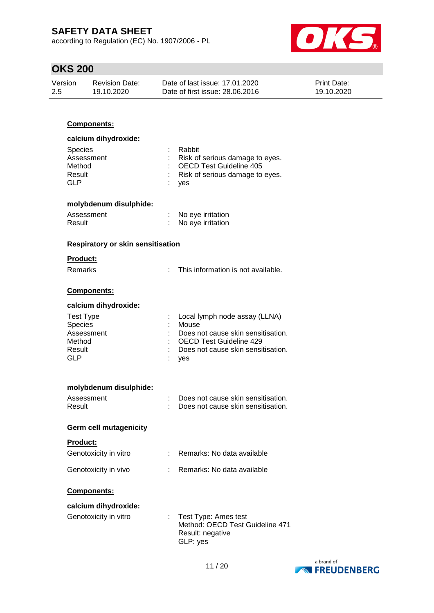according to Regulation (EC) No. 1907/2006 - PL



## **OKS 200**

| Version | <b>Revision Date:</b> | Date of last issue: 17.01.2020  | <b>Print Date:</b> |
|---------|-----------------------|---------------------------------|--------------------|
| -2.5    | 19.10.2020            | Date of first issue: 28,06,2016 | 19.10.2020         |

### **Components:**

| calcium dihydroxide:                                    |                                                                                                                      |
|---------------------------------------------------------|----------------------------------------------------------------------------------------------------------------------|
| <b>Species</b><br>Assessment<br>Method<br>Result<br>GLP | Rabbit<br>: Risk of serious damage to eyes.<br>: OECD Test Guideline 405<br>: Risk of serious damage to eyes.<br>yes |

# **molybdenum disulphide:**

| Assessment | No eye irritation |
|------------|-------------------|
| Result     | No eye irritation |

#### **Respiratory or skin sensitisation**

### **Product:**

Remarks : This information is not available.

#### **Components:**

#### **calcium dihydroxide:**

| Test Type      | : Local lymph node assay (LLNA)      |
|----------------|--------------------------------------|
| <b>Species</b> | : Mouse                              |
| Assessment     | : Does not cause skin sensitisation. |
| Method         | : OECD Test Guideline 429            |
| Result         | : Does not cause skin sensitisation. |
| GLP            | : yes                                |

#### **molybdenum disulphide:**

| Assessment | Does not cause skin sensitisation. |
|------------|------------------------------------|
| Result     | Does not cause skin sensitisation. |

#### **Germ cell mutagenicity**

#### **Product:**

| Genotoxicity in vitro | Remarks: No data available |
|-----------------------|----------------------------|
| Genotoxicity in vivo  | Remarks: No data available |

#### **Components:**

| calcium dihydroxide:  |                                                                                           |
|-----------------------|-------------------------------------------------------------------------------------------|
| Genotoxicity in vitro | : Test Type: Ames test<br>Method: OECD Test Guideline 471<br>Result: negative<br>GLP: yes |

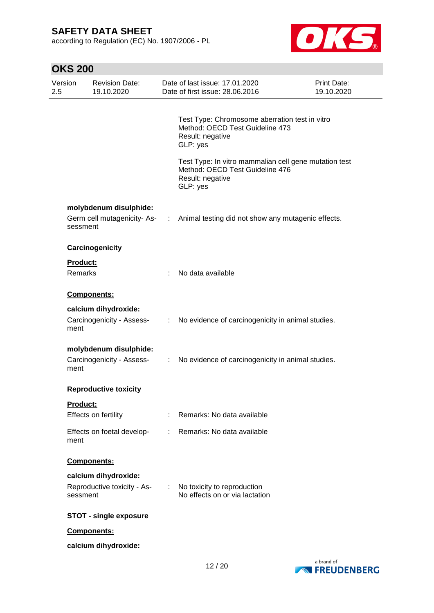according to Regulation (EC) No. 1907/2006 - PL



|                | <b>OKS 200</b>  |                                                        |                                                                                                                                                                                                                                                                                                                                                                                                                               |                                                                                                                          |                           |  |
|----------------|-----------------|--------------------------------------------------------|-------------------------------------------------------------------------------------------------------------------------------------------------------------------------------------------------------------------------------------------------------------------------------------------------------------------------------------------------------------------------------------------------------------------------------|--------------------------------------------------------------------------------------------------------------------------|---------------------------|--|
| Version<br>2.5 |                 | <b>Revision Date:</b><br>19.10.2020                    |                                                                                                                                                                                                                                                                                                                                                                                                                               | Date of last issue: 17.01.2020<br>Date of first issue: 28.06.2016                                                        | Print Date:<br>19.10.2020 |  |
|                |                 |                                                        |                                                                                                                                                                                                                                                                                                                                                                                                                               | Test Type: Chromosome aberration test in vitro<br>Method: OECD Test Guideline 473<br>Result: negative<br>GLP: yes        |                           |  |
|                |                 |                                                        |                                                                                                                                                                                                                                                                                                                                                                                                                               | Test Type: In vitro mammalian cell gene mutation test<br>Method: OECD Test Guideline 476<br>Result: negative<br>GLP: yes |                           |  |
|                | sessment        | molybdenum disulphide:<br>Germ cell mutagenicity-As- : |                                                                                                                                                                                                                                                                                                                                                                                                                               | Animal testing did not show any mutagenic effects.                                                                       |                           |  |
|                |                 | Carcinogenicity                                        |                                                                                                                                                                                                                                                                                                                                                                                                                               |                                                                                                                          |                           |  |
|                | Product:        |                                                        |                                                                                                                                                                                                                                                                                                                                                                                                                               |                                                                                                                          |                           |  |
|                | Remarks         |                                                        | ÷                                                                                                                                                                                                                                                                                                                                                                                                                             | No data available                                                                                                        |                           |  |
|                |                 | Components:                                            |                                                                                                                                                                                                                                                                                                                                                                                                                               |                                                                                                                          |                           |  |
|                | ment            | calcium dihydroxide:<br>Carcinogenicity - Assess-      |                                                                                                                                                                                                                                                                                                                                                                                                                               | : No evidence of carcinogenicity in animal studies.                                                                      |                           |  |
|                | ment            | molybdenum disulphide:<br>Carcinogenicity - Assess-    | $\mathbb{C}^{\times}$                                                                                                                                                                                                                                                                                                                                                                                                         | No evidence of carcinogenicity in animal studies.                                                                        |                           |  |
|                |                 | <b>Reproductive toxicity</b>                           |                                                                                                                                                                                                                                                                                                                                                                                                                               |                                                                                                                          |                           |  |
|                | <b>Product:</b> |                                                        |                                                                                                                                                                                                                                                                                                                                                                                                                               |                                                                                                                          |                           |  |
|                |                 | Effects on fertility                                   |                                                                                                                                                                                                                                                                                                                                                                                                                               | Remarks: No data available                                                                                               |                           |  |
|                | ment            | Effects on foetal develop-                             | $\mathcal{I}^{\mathcal{I}^{\mathcal{I}^{\mathcal{I}^{\mathcal{I}^{\mathcal{I}^{\mathcal{I}^{\mathcal{I}^{\mathcal{I}^{\mathcal{I}^{\mathcal{I}^{\mathcal{I}^{\mathcal{I}^{\mathcal{I}^{\mathcal{I}^{\mathcal{I}^{\mathcal{I}^{\mathcal{I}^{\mathcal{I}^{\mathcal{I}^{\mathcal{I}^{\mathcal{I}^{\mathcal{I}^{\mathcal{I}^{\mathcal{I}^{\mathcal{I}^{\mathcal{I}^{\mathcal{I}^{\mathcal{I}^{\mathcal{I}^{\mathcal{I}^{\mathcal$ | Remarks: No data available                                                                                               |                           |  |
|                |                 | Components:                                            |                                                                                                                                                                                                                                                                                                                                                                                                                               |                                                                                                                          |                           |  |
|                | sessment        | calcium dihydroxide:<br>Reproductive toxicity - As-    | $\mathcal{L}^{\text{max}}$                                                                                                                                                                                                                                                                                                                                                                                                    | No toxicity to reproduction<br>No effects on or via lactation                                                            |                           |  |
|                |                 | <b>STOT - single exposure</b>                          |                                                                                                                                                                                                                                                                                                                                                                                                                               |                                                                                                                          |                           |  |
|                |                 | Components:                                            |                                                                                                                                                                                                                                                                                                                                                                                                                               |                                                                                                                          |                           |  |
|                |                 | calcium dihydroxide:                                   |                                                                                                                                                                                                                                                                                                                                                                                                                               |                                                                                                                          |                           |  |

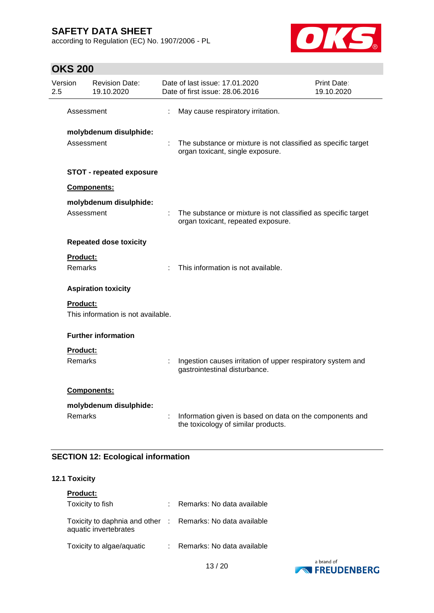according to Regulation (EC) No. 1907/2006 - PL



# **OKS 200**

| Version<br>2.5 |                                      | <b>Revision Date:</b><br>19.10.2020 |    | Date of last issue: 17.01.2020<br>Date of first issue: 28.06.2016                                   | Print Date:<br>19.10.2020 |
|----------------|--------------------------------------|-------------------------------------|----|-----------------------------------------------------------------------------------------------------|---------------------------|
|                | Assessment                           |                                     |    | May cause respiratory irritation.                                                                   |                           |
|                | molybdenum disulphide:<br>Assessment |                                     |    | The substance or mixture is not classified as specific target<br>organ toxicant, single exposure.   |                           |
|                |                                      | <b>STOT - repeated exposure</b>     |    |                                                                                                     |                           |
|                |                                      | Components:                         |    |                                                                                                     |                           |
|                | Assessment                           | molybdenum disulphide:              |    | The substance or mixture is not classified as specific target<br>organ toxicant, repeated exposure. |                           |
|                | <b>Repeated dose toxicity</b>        |                                     |    |                                                                                                     |                           |
|                | Product:<br><b>Remarks</b>           |                                     | ÷  | This information is not available.                                                                  |                           |
|                |                                      | <b>Aspiration toxicity</b>          |    |                                                                                                     |                           |
|                | <b>Product:</b>                      | This information is not available.  |    |                                                                                                     |                           |
|                |                                      | <b>Further information</b>          |    |                                                                                                     |                           |
|                | Product:<br><b>Remarks</b>           |                                     | ł. | Ingestion causes irritation of upper respiratory system and<br>gastrointestinal disturbance.        |                           |
|                |                                      | Components:                         |    |                                                                                                     |                           |
|                | <b>Remarks</b>                       | molybdenum disulphide:              |    | Information given is based on data on the components and<br>the toxicology of similar products.     |                           |

### **SECTION 12: Ecological information**

#### **12.1 Toxicity**

| <b>Product:</b>                                                                     |                            |
|-------------------------------------------------------------------------------------|----------------------------|
| Toxicity to fish                                                                    | Remarks: No data available |
| Toxicity to daphnia and other : Remarks: No data available<br>aquatic invertebrates |                            |
| Toxicity to algae/aquatic                                                           | Remarks: No data available |

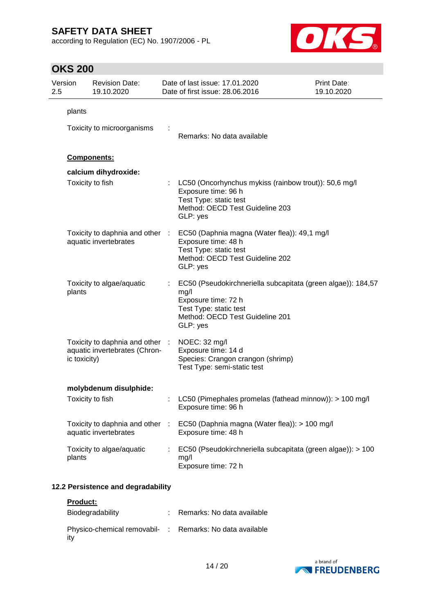according to Regulation (EC) No. 1907/2006 - PL



# **OKS 200**

| Version<br>2.5 |              | <b>Revision Date:</b><br>19.10.2020                            |                      | Date of last issue: 17.01.2020<br>Date of first issue: 28.06.2016                                                                                                    | <b>Print Date:</b><br>19.10.2020 |
|----------------|--------------|----------------------------------------------------------------|----------------------|----------------------------------------------------------------------------------------------------------------------------------------------------------------------|----------------------------------|
|                | plants       | Toxicity to microorganisms                                     |                      | Remarks: No data available                                                                                                                                           |                                  |
|                |              | <b>Components:</b>                                             |                      |                                                                                                                                                                      |                                  |
|                |              | calcium dihydroxide:                                           |                      |                                                                                                                                                                      |                                  |
|                |              | Toxicity to fish                                               |                      | LC50 (Oncorhynchus mykiss (rainbow trout)): 50,6 mg/l<br>Exposure time: 96 h<br>Test Type: static test<br>Method: OECD Test Guideline 203<br>GLP: yes                |                                  |
|                |              | Toxicity to daphnia and other :<br>aquatic invertebrates       |                      | EC50 (Daphnia magna (Water flea)): 49,1 mg/l<br>Exposure time: 48 h<br>Test Type: static test<br>Method: OECD Test Guideline 202<br>GLP: yes                         |                                  |
|                | plants       | Toxicity to algae/aquatic                                      |                      | EC50 (Pseudokirchneriella subcapitata (green algae)): 184,57<br>mg/l<br>Exposure time: 72 h<br>Test Type: static test<br>Method: OECD Test Guideline 201<br>GLP: yes |                                  |
|                | ic toxicity) | Toxicity to daphnia and other<br>aquatic invertebrates (Chron- | $\ddot{\phantom{a}}$ | NOEC: 32 mg/l<br>Exposure time: 14 d<br>Species: Crangon crangon (shrimp)<br>Test Type: semi-static test                                                             |                                  |
|                |              | molybdenum disulphide:                                         |                      |                                                                                                                                                                      |                                  |
|                |              | Toxicity to fish                                               |                      | LC50 (Pimephales promelas (fathead minnow)): > 100 mg/l<br>Exposure time: 96 h                                                                                       |                                  |
|                |              | Toxicity to daphnia and other<br>aquatic invertebrates         | ÷                    | EC50 (Daphnia magna (Water flea)): > 100 mg/l<br>Exposure time: 48 h                                                                                                 |                                  |
|                | plants       | Toxicity to algae/aquatic                                      |                      | EC50 (Pseudokirchneriella subcapitata (green algae)): > 100<br>mg/l<br>Exposure time: 72 h                                                                           |                                  |
|                |              | 12.2 Persistence and degradability                             |                      |                                                                                                                                                                      |                                  |

### **Product:**

| Biodegradability                                                | Remarks: No data available |
|-----------------------------------------------------------------|----------------------------|
| Physico-chemical removabil- : Remarks: No data available<br>ity |                            |

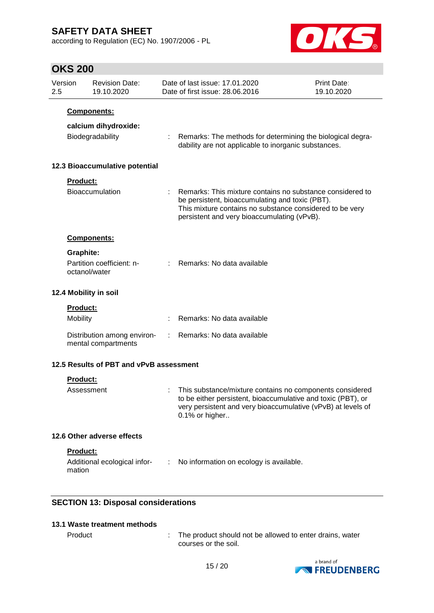according to Regulation (EC) No. 1907/2006 - PL



# **OKS 200**

| Version<br>2.5 |                                    | <b>Revision Date:</b><br>19.10.2020                     |   | Date of last issue: 17.01.2020<br>Date of first issue: 28.06.2016                                                                                                                                                         | <b>Print Date:</b><br>19.10.2020 |
|----------------|------------------------------------|---------------------------------------------------------|---|---------------------------------------------------------------------------------------------------------------------------------------------------------------------------------------------------------------------------|----------------------------------|
|                |                                    | Components:<br>calcium dihydroxide:<br>Biodegradability |   | Remarks: The methods for determining the biological degra-<br>dability are not applicable to inorganic substances.                                                                                                        |                                  |
|                |                                    | 12.3 Bioaccumulative potential                          |   |                                                                                                                                                                                                                           |                                  |
|                | Product:                           | <b>Bioaccumulation</b>                                  |   | : Remarks: This mixture contains no substance considered to<br>be persistent, bioaccumulating and toxic (PBT).<br>This mixture contains no substance considered to be very<br>persistent and very bioaccumulating (vPvB). |                                  |
|                |                                    | <b>Components:</b>                                      |   |                                                                                                                                                                                                                           |                                  |
|                | Graphite:<br>octanol/water         | Partition coefficient: n-                               |   | Remarks: No data available                                                                                                                                                                                                |                                  |
|                |                                    | 12.4 Mobility in soil                                   |   |                                                                                                                                                                                                                           |                                  |
|                | <b>Product:</b><br><b>Mobility</b> |                                                         |   | Remarks: No data available                                                                                                                                                                                                |                                  |
|                |                                    | Distribution among environ-<br>mental compartments      | ÷ | Remarks: No data available                                                                                                                                                                                                |                                  |
|                |                                    | 12.5 Results of PBT and vPvB assessment                 |   |                                                                                                                                                                                                                           |                                  |
|                | <b>Product:</b>                    |                                                         |   |                                                                                                                                                                                                                           |                                  |
|                | Assessment                         |                                                         |   | This substance/mixture contains no components considered<br>to be either persistent, bioaccumulative and toxic (PBT), or<br>very persistent and very bioaccumulative (vPvB) at levels of<br>0.1% or higher                |                                  |
|                |                                    | 12.6 Other adverse effects                              |   |                                                                                                                                                                                                                           |                                  |
|                | Product:<br>mation                 | Additional ecological infor-                            | ÷ | No information on ecology is available.                                                                                                                                                                                   |                                  |

## **SECTION 13: Disposal considerations**

### **13.1 Waste treatment methods**

Product : The product should not be allowed to enter drains, water courses or the soil.

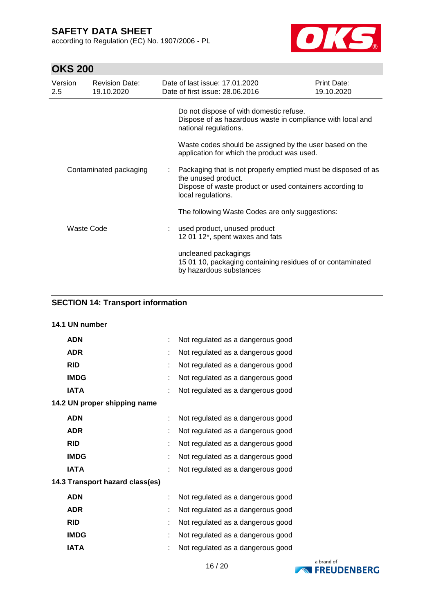according to Regulation (EC) No. 1907/2006 - PL



# **OKS 200**

| Version<br>$2.5^{\circ}$ | <b>Revision Date:</b><br>19.10.2020 | Date of last issue: 17.01.2020<br>Date of first issue: 28.06.2016                                                                                                      | Print Date:<br>19.10.2020 |  |  |  |
|--------------------------|-------------------------------------|------------------------------------------------------------------------------------------------------------------------------------------------------------------------|---------------------------|--|--|--|
|                          |                                     | Do not dispose of with domestic refuse.<br>Dispose of as hazardous waste in compliance with local and<br>national regulations.                                         |                           |  |  |  |
|                          |                                     | Waste codes should be assigned by the user based on the<br>application for which the product was used.                                                                 |                           |  |  |  |
| Contaminated packaging   |                                     | Packaging that is not properly emptied must be disposed of as<br>the unused product.<br>Dispose of waste product or used containers according to<br>local regulations. |                           |  |  |  |
|                          |                                     | The following Waste Codes are only suggestions:                                                                                                                        |                           |  |  |  |
| Waste Code               |                                     | : used product, unused product<br>12 01 12*, spent waxes and fats                                                                                                      |                           |  |  |  |
|                          |                                     | uncleaned packagings<br>15 01 10, packaging containing residues of or contaminated<br>by hazardous substances                                                          |                           |  |  |  |

### **SECTION 14: Transport information**

### **14.1 UN number**

| <b>ADN</b>                      |    | Not regulated as a dangerous good |  |
|---------------------------------|----|-----------------------------------|--|
| <b>ADR</b>                      |    | Not regulated as a dangerous good |  |
| <b>RID</b>                      |    | Not regulated as a dangerous good |  |
| <b>IMDG</b>                     | t. | Not regulated as a dangerous good |  |
| <b>IATA</b>                     |    | Not regulated as a dangerous good |  |
| 14.2 UN proper shipping name    |    |                                   |  |
| <b>ADN</b>                      |    | Not regulated as a dangerous good |  |
| <b>ADR</b>                      |    | Not regulated as a dangerous good |  |
| <b>RID</b>                      |    | Not regulated as a dangerous good |  |
| <b>IMDG</b>                     |    | Not regulated as a dangerous good |  |
| <b>IATA</b>                     |    | Not regulated as a dangerous good |  |
| 14.3 Transport hazard class(es) |    |                                   |  |
| <b>ADN</b>                      |    | Not regulated as a dangerous good |  |
| <b>ADR</b>                      |    | Not regulated as a dangerous good |  |
| <b>RID</b>                      |    | Not regulated as a dangerous good |  |
| <b>IMDG</b>                     |    | Not regulated as a dangerous good |  |
| <b>IATA</b>                     |    | Not regulated as a dangerous good |  |

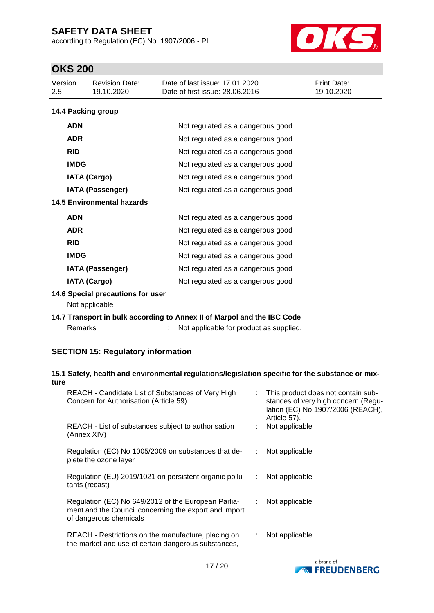according to Regulation (EC) No. 1907/2006 - PL



# **OKS 200**

| Version<br>2.5          | <b>Revision Date:</b><br>19.10.2020                                        |   | Date of last issue: 17.01.2020<br>Date of first issue: 28.06.2016 | Print Date:<br>19.10.2020 |  |  |
|-------------------------|----------------------------------------------------------------------------|---|-------------------------------------------------------------------|---------------------------|--|--|
|                         | 14.4 Packing group                                                         |   |                                                                   |                           |  |  |
| <b>ADN</b>              |                                                                            |   | Not regulated as a dangerous good                                 |                           |  |  |
| <b>ADR</b>              |                                                                            |   | Not regulated as a dangerous good                                 |                           |  |  |
| <b>RID</b>              |                                                                            |   | Not regulated as a dangerous good                                 |                           |  |  |
| <b>IMDG</b>             |                                                                            |   | Not regulated as a dangerous good                                 |                           |  |  |
|                         | <b>IATA (Cargo)</b>                                                        |   | Not regulated as a dangerous good                                 |                           |  |  |
| <b>IATA (Passenger)</b> |                                                                            |   | Not regulated as a dangerous good                                 |                           |  |  |
|                         | 14.5 Environmental hazards                                                 |   |                                                                   |                           |  |  |
| <b>ADN</b>              |                                                                            |   | Not regulated as a dangerous good                                 |                           |  |  |
| <b>ADR</b>              |                                                                            |   | Not regulated as a dangerous good                                 |                           |  |  |
| <b>RID</b>              |                                                                            | ÷ | Not regulated as a dangerous good                                 |                           |  |  |
| <b>IMDG</b>             |                                                                            |   | Not regulated as a dangerous good                                 |                           |  |  |
|                         | <b>IATA (Passenger)</b>                                                    |   | Not regulated as a dangerous good                                 |                           |  |  |
|                         | <b>IATA (Cargo)</b>                                                        |   | Not regulated as a dangerous good                                 |                           |  |  |
|                         | 14.6 Special precautions for user<br>Not applicable                        |   |                                                                   |                           |  |  |
|                         | 4.4.7 Tuesdanaut in built easonaling to Annou II of Mounal and the IDO Ose |   |                                                                   |                           |  |  |

### **14.7 Transport in bulk according to Annex II of Marpol and the IBC Code** Remarks : Not applicable for product as supplied.

### **SECTION 15: Regulatory information**

#### **15.1 Safety, health and environmental regulations/legislation specific for the substance or mixture**

| REACH - Candidate List of Substances of Very High<br>Concern for Authorisation (Article 59).                                           |   | : This product does not contain sub-<br>stances of very high concern (Regu-<br>lation (EC) No 1907/2006 (REACH),<br>Article 57). |
|----------------------------------------------------------------------------------------------------------------------------------------|---|----------------------------------------------------------------------------------------------------------------------------------|
| REACH - List of substances subject to authorisation<br>(Annex XIV)                                                                     |   | Not applicable                                                                                                                   |
| Regulation (EC) No 1005/2009 on substances that de-<br>plete the ozone layer                                                           |   | Not applicable                                                                                                                   |
| Regulation (EU) 2019/1021 on persistent organic pollu-<br>tants (recast)                                                               | ÷ | Not applicable                                                                                                                   |
| Regulation (EC) No 649/2012 of the European Parlia-<br>ment and the Council concerning the export and import<br>of dangerous chemicals |   | Not applicable                                                                                                                   |
| REACH - Restrictions on the manufacture, placing on<br>the market and use of certain dangerous substances,                             |   | Not applicable                                                                                                                   |

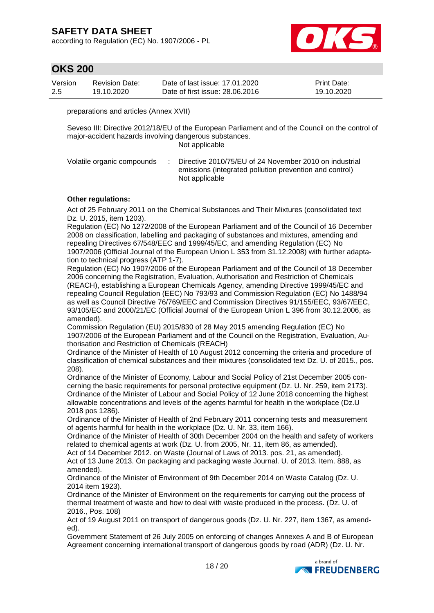according to Regulation (EC) No. 1907/2006 - PL



## **OKS 200**

| Version | <b>Revision Date:</b> | Date of last issue: 17.01.2020  | <b>Print Date:</b> |
|---------|-----------------------|---------------------------------|--------------------|
| 2.5     | 19.10.2020            | Date of first issue: 28,06,2016 | 19.10.2020         |

preparations and articles (Annex XVII)

Seveso III: Directive 2012/18/EU of the European Parliament and of the Council on the control of major-accident hazards involving dangerous substances. Not applicable

Volatile organic compounds : Directive 2010/75/EU of 24 November 2010 on industrial emissions (integrated pollution prevention and control) Not applicable

#### **Other regulations:**

Act of 25 February 2011 on the Chemical Substances and Their Mixtures (consolidated text Dz. U. 2015, item 1203).

Regulation (EC) No 1272/2008 of the European Parliament and of the Council of 16 December 2008 on classification, labelling and packaging of substances and mixtures, amending and repealing Directives 67/548/EEC and 1999/45/EC, and amending Regulation (EC) No 1907/2006 (Official Journal of the European Union L 353 from 31.12.2008) with further adaptation to technical progress (ATP 1-7).

Regulation (EC) No 1907/2006 of the European Parliament and of the Council of 18 December 2006 concerning the Registration, Evaluation, Authorisation and Restriction of Chemicals (REACH), establishing a European Chemicals Agency, amending Directive 1999/45/EC and repealing Council Regulation (EEC) No 793/93 and Commission Regulation (EC) No 1488/94 as well as Council Directive 76/769/EEC and Commission Directives 91/155/EEC, 93/67/EEC, 93/105/EC and 2000/21/EC (Official Journal of the European Union L 396 from 30.12.2006, as amended).

Commission Regulation (EU) 2015/830 of 28 May 2015 amending Regulation (EC) No 1907/2006 of the European Parliament and of the Council on the Registration, Evaluation, Authorisation and Restriction of Chemicals (REACH)

Ordinance of the Minister of Health of 10 August 2012 concerning the criteria and procedure of classification of chemical substances and their mixtures (consolidated text Dz. U. of 2015., pos. 208).

Ordinance of the Minister of Economy, Labour and Social Policy of 21st December 2005 concerning the basic requirements for personal protective equipment (Dz. U. Nr. 259, item 2173). Ordinance of the Minister of Labour and Social Policy of 12 June 2018 concerning the highest allowable concentrations and levels of the agents harmful for health in the workplace (Dz.U 2018 pos 1286).

Ordinance of the Minister of Health of 2nd February 2011 concerning tests and measurement of agents harmful for health in the workplace (Dz. U. Nr. 33, item 166).

Ordinance of the Minister of Health of 30th December 2004 on the health and safety of workers related to chemical agents at work (Dz. U. from 2005, Nr. 11, item 86, as amended).

Act of 14 December 2012. on Waste (Journal of Laws of 2013. pos. 21, as amended). Act of 13 June 2013. On packaging and packaging waste Journal. U. of 2013. Item. 888, as amended).

Ordinance of the Minister of Environment of 9th December 2014 on Waste Catalog (Dz. U. 2014 item 1923).

Ordinance of the Minister of Environment on the requirements for carrying out the process of thermal treatment of waste and how to deal with waste produced in the process. (Dz. U. of 2016., Pos. 108)

Act of 19 August 2011 on transport of dangerous goods (Dz. U. Nr. 227, item 1367, as amended).

Government Statement of 26 July 2005 on enforcing of changes Annexes A and B of European Agreement concerning international transport of dangerous goods by road (ADR) (Dz. U. Nr.

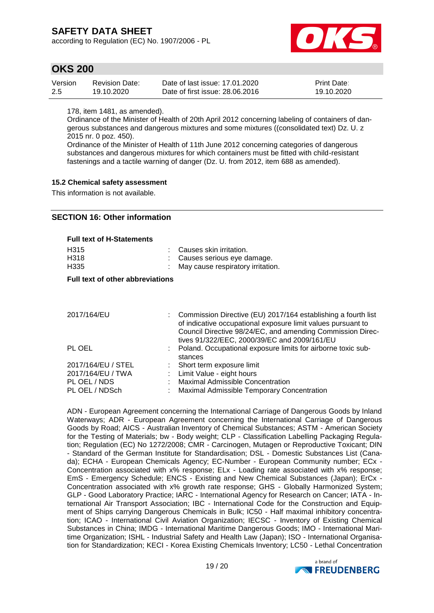according to Regulation (EC) No. 1907/2006 - PL



### **OKS 200**

| Version | <b>Revision Date:</b> | Date of last issue: 17.01.2020  | <b>Print Date:</b> |
|---------|-----------------------|---------------------------------|--------------------|
| 2.5     | 19.10.2020            | Date of first issue: 28,06,2016 | 19.10.2020         |

178, item 1481, as amended).

Ordinance of the Minister of Health of 20th April 2012 concerning labeling of containers of dangerous substances and dangerous mixtures and some mixtures ((consolidated text) Dz. U. z 2015 nr. 0 poz. 450).

Ordinance of the Minister of Health of 11th June 2012 concerning categories of dangerous substances and dangerous mixtures for which containers must be fitted with child-resistant fastenings and a tactile warning of danger (Dz. U. from 2012, item 688 as amended).

#### **15.2 Chemical safety assessment**

This information is not available.

### **SECTION 16: Other information**

| H315 | : Causes skin irritation.           |
|------|-------------------------------------|
| H318 | : Causes serious eye damage.        |
| H335 | : May cause respiratory irritation. |

#### **Full text of other abbreviations**

| 2017/164/EU        | : Commission Directive (EU) 2017/164 establishing a fourth list<br>of indicative occupational exposure limit values pursuant to<br>Council Directive 98/24/EC, and amending Commission Direc-<br>tives 91/322/EEC, 2000/39/EC and 2009/161/EU |
|--------------------|-----------------------------------------------------------------------------------------------------------------------------------------------------------------------------------------------------------------------------------------------|
| PL OEL             | : Poland. Occupational exposure limits for airborne toxic sub-<br>stances                                                                                                                                                                     |
| 2017/164/EU / STEL | : Short term exposure limit                                                                                                                                                                                                                   |
| 2017/164/EU / TWA  | : Limit Value - eight hours                                                                                                                                                                                                                   |
| PL OEL / NDS       | <b>Maximal Admissible Concentration</b>                                                                                                                                                                                                       |
| PL OEL / NDSch     | Maximal Admissible Temporary Concentration                                                                                                                                                                                                    |

ADN - European Agreement concerning the International Carriage of Dangerous Goods by Inland Waterways; ADR - European Agreement concerning the International Carriage of Dangerous Goods by Road; AICS - Australian Inventory of Chemical Substances; ASTM - American Society for the Testing of Materials; bw - Body weight; CLP - Classification Labelling Packaging Regulation; Regulation (EC) No 1272/2008; CMR - Carcinogen, Mutagen or Reproductive Toxicant; DIN - Standard of the German Institute for Standardisation; DSL - Domestic Substances List (Canada); ECHA - European Chemicals Agency; EC-Number - European Community number; ECx - Concentration associated with x% response; ELx - Loading rate associated with x% response; EmS - Emergency Schedule; ENCS - Existing and New Chemical Substances (Japan); ErCx - Concentration associated with x% growth rate response; GHS - Globally Harmonized System; GLP - Good Laboratory Practice; IARC - International Agency for Research on Cancer; IATA - International Air Transport Association; IBC - International Code for the Construction and Equipment of Ships carrying Dangerous Chemicals in Bulk; IC50 - Half maximal inhibitory concentration; ICAO - International Civil Aviation Organization; IECSC - Inventory of Existing Chemical Substances in China; IMDG - International Maritime Dangerous Goods; IMO - International Maritime Organization; ISHL - Industrial Safety and Health Law (Japan); ISO - International Organisation for Standardization; KECI - Korea Existing Chemicals Inventory; LC50 - Lethal Concentration